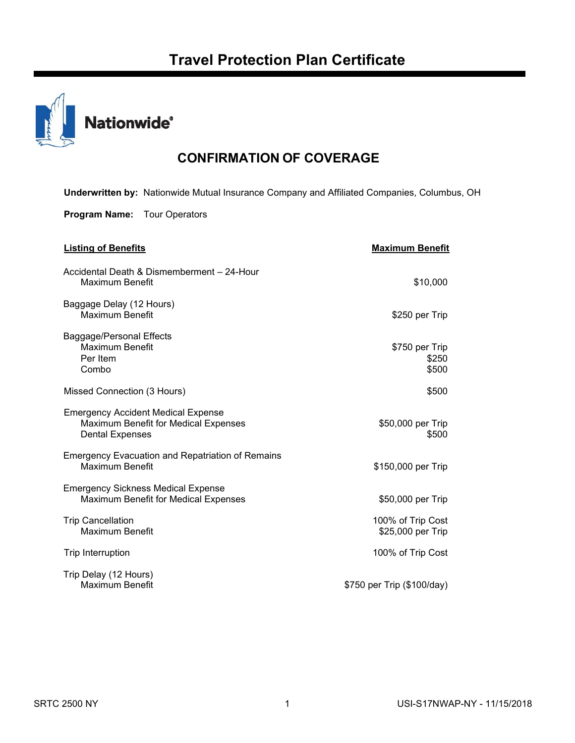

# **CONFIRMATION OF COVERAGE**

**Underwritten by:** Nationwide Mutual Insurance Company and Affiliated Companies, Columbus, OH

**Program Name:** Tour Operators

| <b>Listing of Benefits</b>                                                                                  | <b>Maximum Benefit</b>                 |
|-------------------------------------------------------------------------------------------------------------|----------------------------------------|
| Accidental Death & Dismemberment - 24-Hour<br>Maximum Benefit                                               | \$10,000                               |
| Baggage Delay (12 Hours)<br><b>Maximum Benefit</b>                                                          | \$250 per Trip                         |
| Baggage/Personal Effects<br>Maximum Benefit<br>Per Item<br>Combo                                            | \$750 per Trip<br>\$250<br>\$500       |
| Missed Connection (3 Hours)                                                                                 | \$500                                  |
| <b>Emergency Accident Medical Expense</b><br>Maximum Benefit for Medical Expenses<br><b>Dental Expenses</b> | \$50,000 per Trip<br>\$500             |
| <b>Emergency Evacuation and Repatriation of Remains</b><br>Maximum Benefit                                  | \$150,000 per Trip                     |
| <b>Emergency Sickness Medical Expense</b><br>Maximum Benefit for Medical Expenses                           | \$50,000 per Trip                      |
| <b>Trip Cancellation</b><br><b>Maximum Benefit</b>                                                          | 100% of Trip Cost<br>\$25,000 per Trip |
| <b>Trip Interruption</b>                                                                                    | 100% of Trip Cost                      |
| Trip Delay (12 Hours)<br>Maximum Benefit                                                                    | \$750 per Trip (\$100/day)             |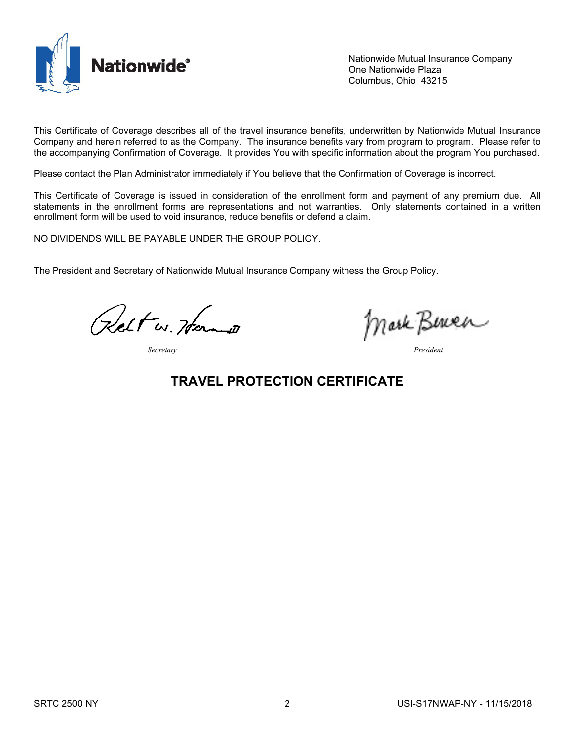

Nationwide Mutual Insurance Company One Nationwide Plaza Columbus, Ohio 43215

This Certificate of Coverage describes all of the travel insurance benefits, underwritten by Nationwide Mutual Insurance Company and herein referred to as the Company. The insurance benefits vary from program to program. Please refer to the accompanying Confirmation of Coverage. It provides You with specific information about the program You purchased.

Please contact the Plan Administrator immediately if You believe that the Confirmation of Coverage is incorrect.

This Certificate of Coverage is issued in consideration of the enrollment form and payment of any premium due. All statements in the enrollment forms are representations and not warranties. Only statements contained in a written enrollment form will be used to void insurance, reduce benefits or defend a claim.

NO DIVIDENDS WILL BE PAYABLE UNDER THE GROUP POLICY.

The President and Secretary of Nationwide Mutual Insurance Company witness the Group Policy.

Relt w. Herman

*Secretary President*

Mark Beren

## **TRAVEL PROTECTION CERTIFICATE**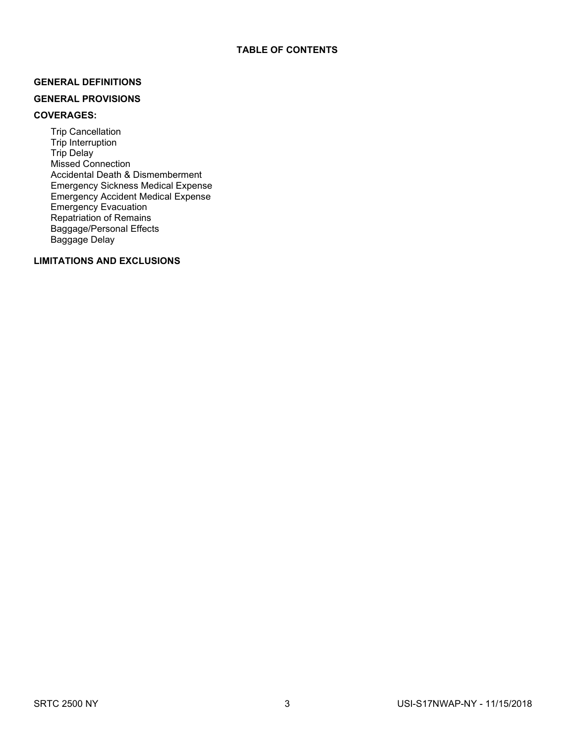## **GENERAL DEFINITIONS**

## **GENERAL PROVISIONS**

## **COVERAGES:**

Trip Cancellation Trip Interruption Trip Delay Missed Connection Accidental Death & Dismemberment Emergency Sickness Medical Expense Emergency Accident Medical Expense Emergency Evacuation Repatriation of Remains Baggage/Personal Effects Baggage Delay

## **LIMITATIONS AND EXCLUSIONS**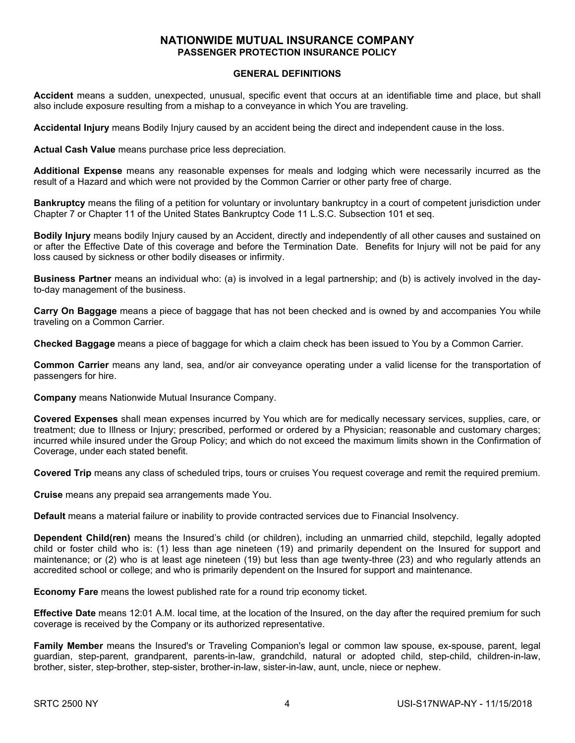## **NATIONWIDE MUTUAL INSURANCE COMPANY PASSENGER PROTECTION INSURANCE POLICY**

#### **GENERAL DEFINITIONS**

**Accident** means a sudden, unexpected, unusual, specific event that occurs at an identifiable time and place, but shall also include exposure resulting from a mishap to a conveyance in which You are traveling.

**Accidental Injury** means Bodily Injury caused by an accident being the direct and independent cause in the loss.

**Actual Cash Value** means purchase price less depreciation.

**Additional Expense** means any reasonable expenses for meals and lodging which were necessarily incurred as the result of a Hazard and which were not provided by the Common Carrier or other party free of charge.

**Bankruptcy** means the filing of a petition for voluntary or involuntary bankruptcy in a court of competent jurisdiction under Chapter 7 or Chapter 11 of the United States Bankruptcy Code 11 L.S.C. Subsection 101 et seq.

**Bodily Injury** means bodily Injury caused by an Accident, directly and independently of all other causes and sustained on or after the Effective Date of this coverage and before the Termination Date. Benefits for Injury will not be paid for any loss caused by sickness or other bodily diseases or infirmity.

**Business Partner** means an individual who: (a) is involved in a legal partnership; and (b) is actively involved in the dayto-day management of the business.

**Carry On Baggage** means a piece of baggage that has not been checked and is owned by and accompanies You while traveling on a Common Carrier.

**Checked Baggage** means a piece of baggage for which a claim check has been issued to You by a Common Carrier.

**Common Carrier** means any land, sea, and/or air conveyance operating under a valid license for the transportation of passengers for hire.

**Company** means Nationwide Mutual Insurance Company.

**Covered Expenses** shall mean expenses incurred by You which are for medically necessary services, supplies, care, or treatment; due to Illness or Injury; prescribed, performed or ordered by a Physician; reasonable and customary charges; incurred while insured under the Group Policy; and which do not exceed the maximum limits shown in the Confirmation of Coverage, under each stated benefit.

**Covered Trip** means any class of scheduled trips, tours or cruises You request coverage and remit the required premium.

**Cruise** means any prepaid sea arrangements made You.

**Default** means a material failure or inability to provide contracted services due to Financial Insolvency.

**Dependent Child(ren)** means the Insured's child (or children), including an unmarried child, stepchild, legally adopted child or foster child who is: (1) less than age nineteen (19) and primarily dependent on the Insured for support and maintenance; or (2) who is at least age nineteen (19) but less than age twenty-three (23) and who regularly attends an accredited school or college; and who is primarily dependent on the Insured for support and maintenance.

**Economy Fare** means the lowest published rate for a round trip economy ticket.

**Effective Date** means 12:01 A.M. local time, at the location of the Insured, on the day after the required premium for such coverage is received by the Company or its authorized representative.

**Family Member** means the Insured's or Traveling Companion's legal or common law spouse, ex-spouse, parent, legal guardian, step-parent, grandparent, parents-in-law, grandchild, natural or adopted child, step-child, children-in-law, brother, sister, step-brother, step-sister, brother-in-law, sister-in-law, aunt, uncle, niece or nephew.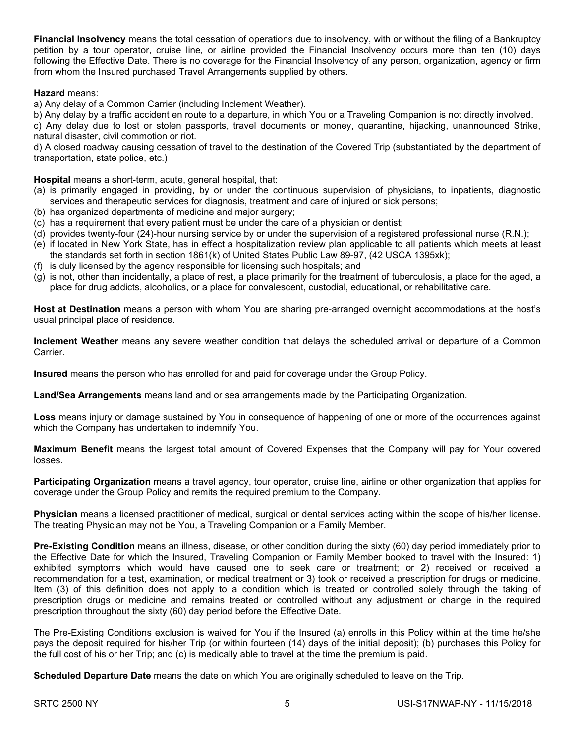**Financial Insolvency** means the total cessation of operations due to insolvency, with or without the filing of a Bankruptcy petition by a tour operator, cruise line, or airline provided the Financial Insolvency occurs more than ten (10) days following the Effective Date. There is no coverage for the Financial Insolvency of any person, organization, agency or firm from whom the Insured purchased Travel Arrangements supplied by others.

#### **Hazard** means:

a) Any delay of a Common Carrier (including Inclement Weather).

b) Any delay by a traffic accident en route to a departure, in which You or a Traveling Companion is not directly involved.

c) Any delay due to lost or stolen passports, travel documents or money, quarantine, hijacking, unannounced Strike, natural disaster, civil commotion or riot.

d) A closed roadway causing cessation of travel to the destination of the Covered Trip (substantiated by the department of transportation, state police, etc.)

**Hospital** means a short-term, acute, general hospital, that:

- (a) is primarily engaged in providing, by or under the continuous supervision of physicians, to inpatients, diagnostic services and therapeutic services for diagnosis, treatment and care of injured or sick persons;
- (b) has organized departments of medicine and major surgery;
- (c) has a requirement that every patient must be under the care of a physician or dentist;
- (d) provides twenty-four (24)-hour nursing service by or under the supervision of a registered professional nurse (R.N.);
- (e) if located in New York State, has in effect a hospitalization review plan applicable to all patients which meets at least the standards set forth in section 1861(k) of United States Public Law 89-97, (42 USCA 1395xk);
- (f) is duly licensed by the agency responsible for licensing such hospitals; and
- (g) is not, other than incidentally, a place of rest, a place primarily for the treatment of tuberculosis, a place for the aged, a place for drug addicts, alcoholics, or a place for convalescent, custodial, educational, or rehabilitative care.

**Host at Destination** means a person with whom You are sharing pre-arranged overnight accommodations at the host's usual principal place of residence.

**Inclement Weather** means any severe weather condition that delays the scheduled arrival or departure of a Common Carrier.

**Insured** means the person who has enrolled for and paid for coverage under the Group Policy.

**Land/Sea Arrangements** means land and or sea arrangements made by the Participating Organization.

**Loss** means injury or damage sustained by You in consequence of happening of one or more of the occurrences against which the Company has undertaken to indemnify You.

**Maximum Benefit** means the largest total amount of Covered Expenses that the Company will pay for Your covered losses.

**Participating Organization** means a travel agency, tour operator, cruise line, airline or other organization that applies for coverage under the Group Policy and remits the required premium to the Company.

**Physician** means a licensed practitioner of medical, surgical or dental services acting within the scope of his/her license. The treating Physician may not be You, a Traveling Companion or a Family Member.

**Pre-Existing Condition** means an illness, disease, or other condition during the sixty (60) day period immediately prior to the Effective Date for which the Insured, Traveling Companion or Family Member booked to travel with the Insured: 1) exhibited symptoms which would have caused one to seek care or treatment; or 2) received or received a recommendation for a test, examination, or medical treatment or 3) took or received a prescription for drugs or medicine. Item (3) of this definition does not apply to a condition which is treated or controlled solely through the taking of prescription drugs or medicine and remains treated or controlled without any adjustment or change in the required prescription throughout the sixty (60) day period before the Effective Date.

The Pre-Existing Conditions exclusion is waived for You if the Insured (a) enrolls in this Policy within at the time he/she pays the deposit required for his/her Trip (or within fourteen (14) days of the initial deposit); (b) purchases this Policy for the full cost of his or her Trip; and (c) is medically able to travel at the time the premium is paid.

**Scheduled Departure Date** means the date on which You are originally scheduled to leave on the Trip.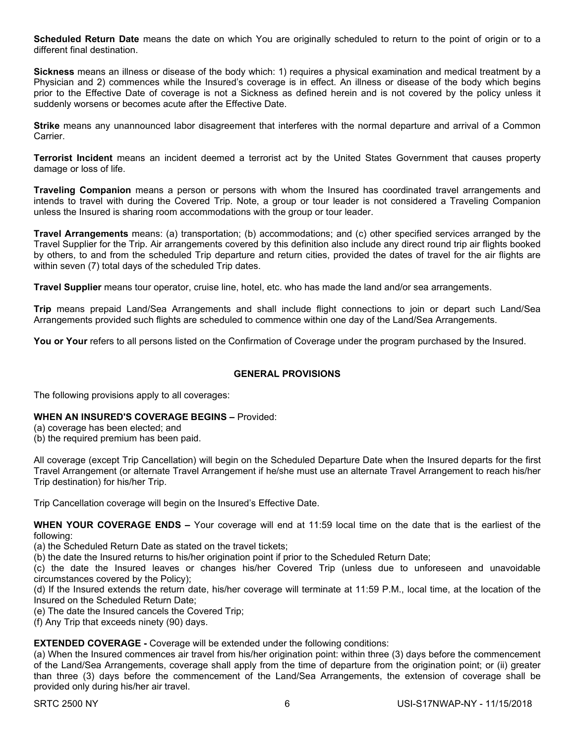**Scheduled Return Date** means the date on which You are originally scheduled to return to the point of origin or to a different final destination.

**Sickness** means an illness or disease of the body which: 1) requires a physical examination and medical treatment by a Physician and 2) commences while the Insured's coverage is in effect. An illness or disease of the body which begins prior to the Effective Date of coverage is not a Sickness as defined herein and is not covered by the policy unless it suddenly worsens or becomes acute after the Effective Date.

**Strike** means any unannounced labor disagreement that interferes with the normal departure and arrival of a Common Carrier.

**Terrorist Incident** means an incident deemed a terrorist act by the United States Government that causes property damage or loss of life.

**Traveling Companion** means a person or persons with whom the Insured has coordinated travel arrangements and intends to travel with during the Covered Trip. Note, a group or tour leader is not considered a Traveling Companion unless the Insured is sharing room accommodations with the group or tour leader.

**Travel Arrangements** means: (a) transportation; (b) accommodations; and (c) other specified services arranged by the Travel Supplier for the Trip. Air arrangements covered by this definition also include any direct round trip air flights booked by others, to and from the scheduled Trip departure and return cities, provided the dates of travel for the air flights are within seven (7) total days of the scheduled Trip dates.

**Travel Supplier** means tour operator, cruise line, hotel, etc. who has made the land and/or sea arrangements.

**Trip** means prepaid Land/Sea Arrangements and shall include flight connections to join or depart such Land/Sea Arrangements provided such flights are scheduled to commence within one day of the Land/Sea Arrangements.

You or Your refers to all persons listed on the Confirmation of Coverage under the program purchased by the Insured.

## **GENERAL PROVISIONS**

The following provisions apply to all coverages:

#### **WHEN AN INSURED'S COVERAGE BEGINS –** Provided:

(a) coverage has been elected; and

(b) the required premium has been paid.

All coverage (except Trip Cancellation) will begin on the Scheduled Departure Date when the Insured departs for the first Travel Arrangement (or alternate Travel Arrangement if he/she must use an alternate Travel Arrangement to reach his/her Trip destination) for his/her Trip.

Trip Cancellation coverage will begin on the Insured's Effective Date.

**WHEN YOUR COVERAGE ENDS –** Your coverage will end at 11:59 local time on the date that is the earliest of the following:

(a) the Scheduled Return Date as stated on the travel tickets;

(b) the date the Insured returns to his/her origination point if prior to the Scheduled Return Date;

(c) the date the Insured leaves or changes his/her Covered Trip (unless due to unforeseen and unavoidable circumstances covered by the Policy);

(d) If the Insured extends the return date, his/her coverage will terminate at 11:59 P.M., local time, at the location of the Insured on the Scheduled Return Date;

(e) The date the Insured cancels the Covered Trip;

(f) Any Trip that exceeds ninety (90) days.

**EXTENDED COVERAGE -** Coverage will be extended under the following conditions:

(a) When the Insured commences air travel from his/her origination point: within three (3) days before the commencement of the Land/Sea Arrangements, coverage shall apply from the time of departure from the origination point; or (ii) greater than three (3) days before the commencement of the Land/Sea Arrangements, the extension of coverage shall be provided only during his/her air travel.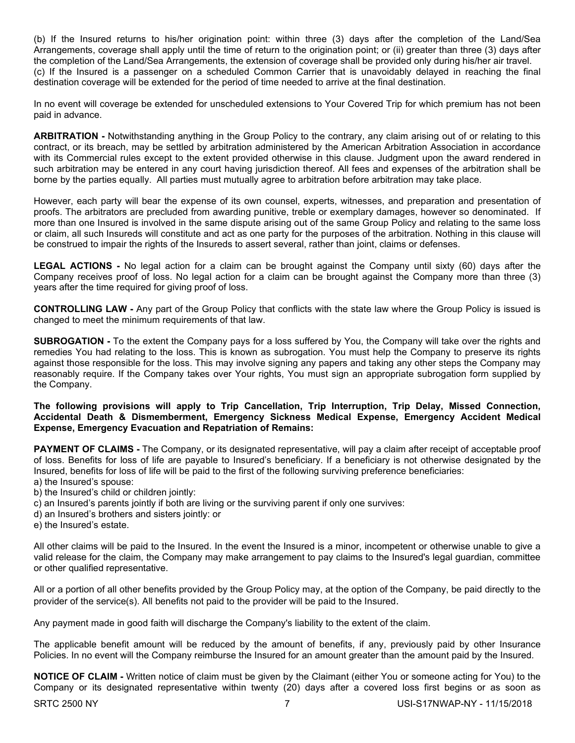(b) If the Insured returns to his/her origination point: within three (3) days after the completion of the Land/Sea Arrangements, coverage shall apply until the time of return to the origination point; or (ii) greater than three (3) days after the completion of the Land/Sea Arrangements, the extension of coverage shall be provided only during his/her air travel. (c) If the Insured is a passenger on a scheduled Common Carrier that is unavoidably delayed in reaching the final destination coverage will be extended for the period of time needed to arrive at the final destination.

In no event will coverage be extended for unscheduled extensions to Your Covered Trip for which premium has not been paid in advance.

**ARBITRATION -** Notwithstanding anything in the Group Policy to the contrary, any claim arising out of or relating to this contract, or its breach, may be settled by arbitration administered by the American Arbitration Association in accordance with its Commercial rules except to the extent provided otherwise in this clause. Judgment upon the award rendered in such arbitration may be entered in any court having jurisdiction thereof. All fees and expenses of the arbitration shall be borne by the parties equally. All parties must mutually agree to arbitration before arbitration may take place.

However, each party will bear the expense of its own counsel, experts, witnesses, and preparation and presentation of proofs. The arbitrators are precluded from awarding punitive, treble or exemplary damages, however so denominated. If more than one Insured is involved in the same dispute arising out of the same Group Policy and relating to the same loss or claim, all such Insureds will constitute and act as one party for the purposes of the arbitration. Nothing in this clause will be construed to impair the rights of the Insureds to assert several, rather than joint, claims or defenses.

**LEGAL ACTIONS -** No legal action for a claim can be brought against the Company until sixty (60) days after the Company receives proof of loss. No legal action for a claim can be brought against the Company more than three (3) years after the time required for giving proof of loss.

**CONTROLLING LAW -** Any part of the Group Policy that conflicts with the state law where the Group Policy is issued is changed to meet the minimum requirements of that law.

**SUBROGATION -** To the extent the Company pays for a loss suffered by You, the Company will take over the rights and remedies You had relating to the loss. This is known as subrogation. You must help the Company to preserve its rights against those responsible for the loss. This may involve signing any papers and taking any other steps the Company may reasonably require. If the Company takes over Your rights, You must sign an appropriate subrogation form supplied by the Company.

#### **The following provisions will apply to Trip Cancellation, Trip Interruption, Trip Delay, Missed Connection, Accidental Death & Dismemberment, Emergency Sickness Medical Expense, Emergency Accident Medical Expense, Emergency Evacuation and Repatriation of Remains:**

**PAYMENT OF CLAIMS -** The Company, or its designated representative, will pay a claim after receipt of acceptable proof of loss. Benefits for loss of life are payable to Insured's beneficiary. If a beneficiary is not otherwise designated by the Insured, benefits for loss of life will be paid to the first of the following surviving preference beneficiaries:

a) the Insured's spouse:

b) the Insured's child or children jointly:

c) an Insured's parents jointly if both are living or the surviving parent if only one survives:

- d) an Insured's brothers and sisters jointly: or
- e) the Insured's estate.

All other claims will be paid to the Insured. In the event the Insured is a minor, incompetent or otherwise unable to give a valid release for the claim, the Company may make arrangement to pay claims to the Insured's legal guardian, committee or other qualified representative.

All or a portion of all other benefits provided by the Group Policy may, at the option of the Company, be paid directly to the provider of the service(s). All benefits not paid to the provider will be paid to the Insured.

Any payment made in good faith will discharge the Company's liability to the extent of the claim.

The applicable benefit amount will be reduced by the amount of benefits, if any, previously paid by other Insurance Policies. In no event will the Company reimburse the Insured for an amount greater than the amount paid by the Insured.

**NOTICE OF CLAIM -** Written notice of claim must be given by the Claimant (either You or someone acting for You) to the Company or its designated representative within twenty (20) days after a covered loss first begins or as soon as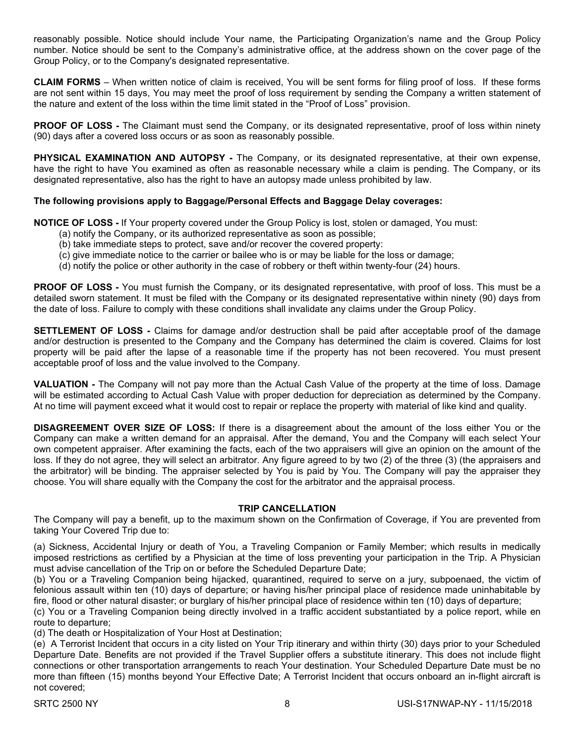reasonably possible. Notice should include Your name, the Participating Organization's name and the Group Policy number. Notice should be sent to the Company's administrative office, at the address shown on the cover page of the Group Policy, or to the Company's designated representative.

**CLAIM FORMS** – When written notice of claim is received, You will be sent forms for filing proof of loss. If these forms are not sent within 15 days, You may meet the proof of loss requirement by sending the Company a written statement of the nature and extent of the loss within the time limit stated in the "Proof of Loss" provision.

**PROOF OF LOSS -** The Claimant must send the Company, or its designated representative, proof of loss within ninety (90) days after a covered loss occurs or as soon as reasonably possible.

**PHYSICAL EXAMINATION AND AUTOPSY -** The Company, or its designated representative, at their own expense, have the right to have You examined as often as reasonable necessary while a claim is pending. The Company, or its designated representative, also has the right to have an autopsy made unless prohibited by law.

## **The following provisions apply to Baggage/Personal Effects and Baggage Delay coverages:**

**NOTICE OF LOSS -** If Your property covered under the Group Policy is lost, stolen or damaged, You must:

- (a) notify the Company, or its authorized representative as soon as possible;
- (b) take immediate steps to protect, save and/or recover the covered property:
- (c) give immediate notice to the carrier or bailee who is or may be liable for the loss or damage;
- (d) notify the police or other authority in the case of robbery or theft within twenty-four (24) hours.

**PROOF OF LOSS -** You must furnish the Company, or its designated representative, with proof of loss. This must be a detailed sworn statement. It must be filed with the Company or its designated representative within ninety (90) days from the date of loss. Failure to comply with these conditions shall invalidate any claims under the Group Policy.

**SETTLEMENT OF LOSS -** Claims for damage and/or destruction shall be paid after acceptable proof of the damage and/or destruction is presented to the Company and the Company has determined the claim is covered. Claims for lost property will be paid after the lapse of a reasonable time if the property has not been recovered. You must present acceptable proof of loss and the value involved to the Company.

**VALUATION -** The Company will not pay more than the Actual Cash Value of the property at the time of loss. Damage will be estimated according to Actual Cash Value with proper deduction for depreciation as determined by the Company. At no time will payment exceed what it would cost to repair or replace the property with material of like kind and quality.

**DISAGREEMENT OVER SIZE OF LOSS:** If there is a disagreement about the amount of the loss either You or the Company can make a written demand for an appraisal. After the demand, You and the Company will each select Your own competent appraiser. After examining the facts, each of the two appraisers will give an opinion on the amount of the loss. If they do not agree, they will select an arbitrator. Any figure agreed to by two (2) of the three (3) (the appraisers and the arbitrator) will be binding. The appraiser selected by You is paid by You. The Company will pay the appraiser they choose. You will share equally with the Company the cost for the arbitrator and the appraisal process.

#### **TRIP CANCELLATION**

The Company will pay a benefit, up to the maximum shown on the Confirmation of Coverage, if You are prevented from taking Your Covered Trip due to:

(a) Sickness, Accidental Injury or death of You, a Traveling Companion or Family Member; which results in medically imposed restrictions as certified by a Physician at the time of loss preventing your participation in the Trip. A Physician must advise cancellation of the Trip on or before the Scheduled Departure Date;

(b) You or a Traveling Companion being hijacked, quarantined, required to serve on a jury, subpoenaed, the victim of felonious assault within ten (10) days of departure; or having his/her principal place of residence made uninhabitable by fire, flood or other natural disaster; or burglary of his/her principal place of residence within ten (10) days of departure;

(c) You or a Traveling Companion being directly involved in a traffic accident substantiated by a police report, while en route to departure;

(d) The death or Hospitalization of Your Host at Destination;

(e) A Terrorist Incident that occurs in a city listed on Your Trip itinerary and within thirty (30) days prior to your Scheduled Departure Date. Benefits are not provided if the Travel Supplier offers a substitute itinerary. This does not include flight connections or other transportation arrangements to reach Your destination. Your Scheduled Departure Date must be no more than fifteen (15) months beyond Your Effective Date; A Terrorist Incident that occurs onboard an in-flight aircraft is not covered;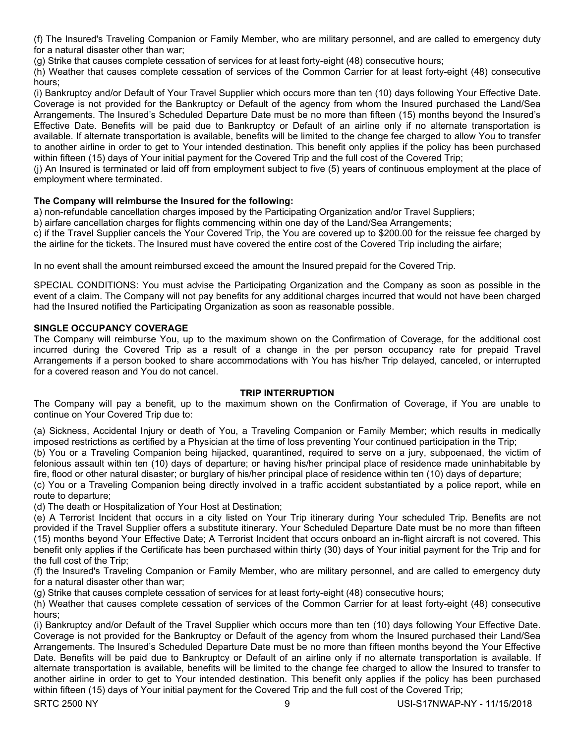(f) The Insured's Traveling Companion or Family Member, who are military personnel, and are called to emergency duty for a natural disaster other than war;

(g) Strike that causes complete cessation of services for at least forty-eight (48) consecutive hours;

(h) Weather that causes complete cessation of services of the Common Carrier for at least forty-eight (48) consecutive hours;

(i) Bankruptcy and/or Default of Your Travel Supplier which occurs more than ten (10) days following Your Effective Date. Coverage is not provided for the Bankruptcy or Default of the agency from whom the Insured purchased the Land/Sea Arrangements. The Insured's Scheduled Departure Date must be no more than fifteen (15) months beyond the Insured's Effective Date. Benefits will be paid due to Bankruptcy or Default of an airline only if no alternate transportation is available. If alternate transportation is available, benefits will be limited to the change fee charged to allow You to transfer to another airline in order to get to Your intended destination. This benefit only applies if the policy has been purchased within fifteen (15) days of Your initial payment for the Covered Trip and the full cost of the Covered Trip;

(j) An Insured is terminated or laid off from employment subject to five (5) years of continuous employment at the place of employment where terminated.

## **The Company will reimburse the Insured for the following:**

a) non-refundable cancellation charges imposed by the Participating Organization and/or Travel Suppliers;

b) airfare cancellation charges for flights commencing within one day of the Land/Sea Arrangements;

c) if the Travel Supplier cancels the Your Covered Trip, the You are covered up to \$200.00 for the reissue fee charged by the airline for the tickets. The Insured must have covered the entire cost of the Covered Trip including the airfare;

In no event shall the amount reimbursed exceed the amount the Insured prepaid for the Covered Trip.

SPECIAL CONDITIONS: You must advise the Participating Organization and the Company as soon as possible in the event of a claim. The Company will not pay benefits for any additional charges incurred that would not have been charged had the Insured notified the Participating Organization as soon as reasonable possible.

#### **SINGLE OCCUPANCY COVERAGE**

The Company will reimburse You, up to the maximum shown on the Confirmation of Coverage, for the additional cost incurred during the Covered Trip as a result of a change in the per person occupancy rate for prepaid Travel Arrangements if a person booked to share accommodations with You has his/her Trip delayed, canceled, or interrupted for a covered reason and You do not cancel.

#### **TRIP INTERRUPTION**

The Company will pay a benefit, up to the maximum shown on the Confirmation of Coverage, if You are unable to continue on Your Covered Trip due to:

(a) Sickness, Accidental Injury or death of You, a Traveling Companion or Family Member; which results in medically imposed restrictions as certified by a Physician at the time of loss preventing Your continued participation in the Trip;

(b) You or a Traveling Companion being hijacked, quarantined, required to serve on a jury, subpoenaed, the victim of felonious assault within ten (10) days of departure; or having his/her principal place of residence made uninhabitable by fire, flood or other natural disaster; or burglary of his/her principal place of residence within ten (10) days of departure;

(c) You or a Traveling Companion being directly involved in a traffic accident substantiated by a police report, while en route to departure;

(d) The death or Hospitalization of Your Host at Destination;

(e) A Terrorist Incident that occurs in a city listed on Your Trip itinerary during Your scheduled Trip. Benefits are not provided if the Travel Supplier offers a substitute itinerary. Your Scheduled Departure Date must be no more than fifteen (15) months beyond Your Effective Date; A Terrorist Incident that occurs onboard an in-flight aircraft is not covered. This benefit only applies if the Certificate has been purchased within thirty (30) days of Your initial payment for the Trip and for the full cost of the Trip;

(f) the Insured's Traveling Companion or Family Member, who are military personnel, and are called to emergency duty for a natural disaster other than war;

(g) Strike that causes complete cessation of services for at least forty-eight (48) consecutive hours;

(h) Weather that causes complete cessation of services of the Common Carrier for at least forty-eight (48) consecutive hours;

(i) Bankruptcy and/or Default of the Travel Supplier which occurs more than ten (10) days following Your Effective Date. Coverage is not provided for the Bankruptcy or Default of the agency from whom the Insured purchased their Land/Sea Arrangements. The Insured's Scheduled Departure Date must be no more than fifteen months beyond the Your Effective Date. Benefits will be paid due to Bankruptcy or Default of an airline only if no alternate transportation is available. If alternate transportation is available, benefits will be limited to the change fee charged to allow the Insured to transfer to another airline in order to get to Your intended destination. This benefit only applies if the policy has been purchased within fifteen (15) days of Your initial payment for the Covered Trip and the full cost of the Covered Trip;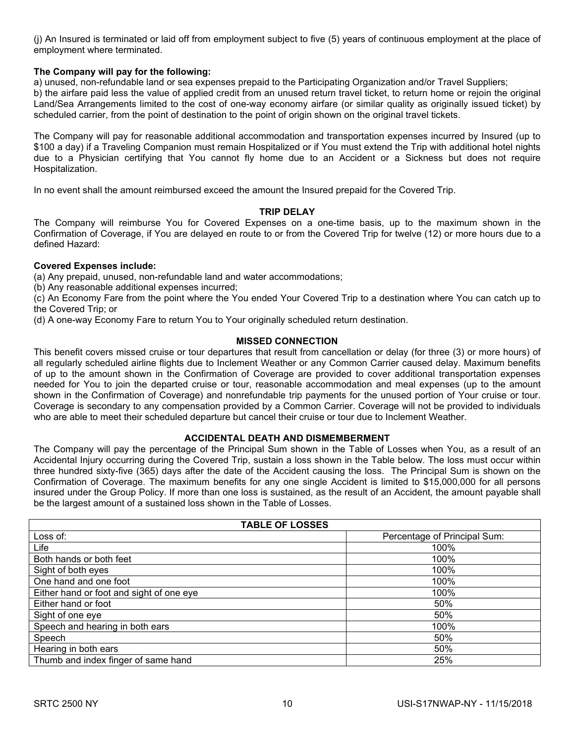(j) An Insured is terminated or laid off from employment subject to five (5) years of continuous employment at the place of employment where terminated.

### **The Company will pay for the following:**

a) unused, non-refundable land or sea expenses prepaid to the Participating Organization and/or Travel Suppliers;

b) the airfare paid less the value of applied credit from an unused return travel ticket, to return home or rejoin the original Land/Sea Arrangements limited to the cost of one-way economy airfare (or similar quality as originally issued ticket) by scheduled carrier, from the point of destination to the point of origin shown on the original travel tickets.

The Company will pay for reasonable additional accommodation and transportation expenses incurred by Insured (up to \$100 a day) if a Traveling Companion must remain Hospitalized or if You must extend the Trip with additional hotel nights due to a Physician certifying that You cannot fly home due to an Accident or a Sickness but does not require Hospitalization.

In no event shall the amount reimbursed exceed the amount the Insured prepaid for the Covered Trip.

#### **TRIP DELAY**

The Company will reimburse You for Covered Expenses on a one-time basis, up to the maximum shown in the Confirmation of Coverage, if You are delayed en route to or from the Covered Trip for twelve (12) or more hours due to a defined Hazard:

#### **Covered Expenses include:**

(a) Any prepaid, unused, non-refundable land and water accommodations;

(b) Any reasonable additional expenses incurred;

(c) An Economy Fare from the point where the You ended Your Covered Trip to a destination where You can catch up to the Covered Trip; or

(d) A one-way Economy Fare to return You to Your originally scheduled return destination.

#### **MISSED CONNECTION**

This benefit covers missed cruise or tour departures that result from cancellation or delay (for three (3) or more hours) of all regularly scheduled airline flights due to Inclement Weather or any Common Carrier caused delay. Maximum benefits of up to the amount shown in the Confirmation of Coverage are provided to cover additional transportation expenses needed for You to join the departed cruise or tour, reasonable accommodation and meal expenses (up to the amount shown in the Confirmation of Coverage) and nonrefundable trip payments for the unused portion of Your cruise or tour. Coverage is secondary to any compensation provided by a Common Carrier. Coverage will not be provided to individuals who are able to meet their scheduled departure but cancel their cruise or tour due to Inclement Weather.

#### **ACCIDENTAL DEATH AND DISMEMBERMENT**

The Company will pay the percentage of the Principal Sum shown in the Table of Losses when You, as a result of an Accidental Injury occurring during the Covered Trip, sustain a loss shown in the Table below. The loss must occur within three hundred sixty-five (365) days after the date of the Accident causing the loss. The Principal Sum is shown on the Confirmation of Coverage. The maximum benefits for any one single Accident is limited to \$15,000,000 for all persons insured under the Group Policy. If more than one loss is sustained, as the result of an Accident, the amount payable shall be the largest amount of a sustained loss shown in the Table of Losses.

| <b>TABLE OF LOSSES</b>                   |                              |
|------------------------------------------|------------------------------|
| Loss of:                                 | Percentage of Principal Sum: |
| Life                                     | 100%                         |
| Both hands or both feet                  | 100%                         |
| Sight of both eyes                       | 100%                         |
| One hand and one foot                    | 100%                         |
| Either hand or foot and sight of one eye | 100%                         |
| Either hand or foot                      | 50%                          |
| Sight of one eye                         | 50%                          |
| Speech and hearing in both ears          | 100%                         |
| Speech                                   | 50%                          |
| Hearing in both ears                     | 50%                          |
| Thumb and index finger of same hand      | 25%                          |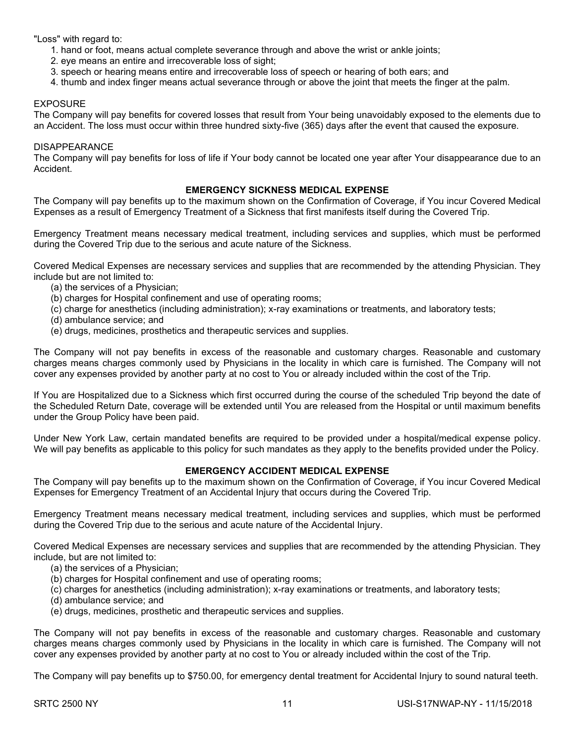"Loss" with regard to:

- 1. hand or foot, means actual complete severance through and above the wrist or ankle joints;
- 2. eye means an entire and irrecoverable loss of sight;
- 3. speech or hearing means entire and irrecoverable loss of speech or hearing of both ears; and
- 4. thumb and index finger means actual severance through or above the joint that meets the finger at the palm.

#### EXPOSURE

The Company will pay benefits for covered losses that result from Your being unavoidably exposed to the elements due to an Accident. The loss must occur within three hundred sixty-five (365) days after the event that caused the exposure.

#### DISAPPEARANCE

The Company will pay benefits for loss of life if Your body cannot be located one year after Your disappearance due to an Accident.

### **EMERGENCY SICKNESS MEDICAL EXPENSE**

The Company will pay benefits up to the maximum shown on the Confirmation of Coverage, if You incur Covered Medical Expenses as a result of Emergency Treatment of a Sickness that first manifests itself during the Covered Trip.

Emergency Treatment means necessary medical treatment, including services and supplies, which must be performed during the Covered Trip due to the serious and acute nature of the Sickness.

Covered Medical Expenses are necessary services and supplies that are recommended by the attending Physician. They include but are not limited to:

- (a) the services of a Physician;
- (b) charges for Hospital confinement and use of operating rooms;
- (c) charge for anesthetics (including administration); x-ray examinations or treatments, and laboratory tests;
- (d) ambulance service; and
- (e) drugs, medicines, prosthetics and therapeutic services and supplies.

The Company will not pay benefits in excess of the reasonable and customary charges. Reasonable and customary charges means charges commonly used by Physicians in the locality in which care is furnished. The Company will not cover any expenses provided by another party at no cost to You or already included within the cost of the Trip.

If You are Hospitalized due to a Sickness which first occurred during the course of the scheduled Trip beyond the date of the Scheduled Return Date, coverage will be extended until You are released from the Hospital or until maximum benefits under the Group Policy have been paid.

Under New York Law, certain mandated benefits are required to be provided under a hospital/medical expense policy. We will pay benefits as applicable to this policy for such mandates as they apply to the benefits provided under the Policy.

## **EMERGENCY ACCIDENT MEDICAL EXPENSE**

The Company will pay benefits up to the maximum shown on the Confirmation of Coverage, if You incur Covered Medical Expenses for Emergency Treatment of an Accidental Injury that occurs during the Covered Trip.

Emergency Treatment means necessary medical treatment, including services and supplies, which must be performed during the Covered Trip due to the serious and acute nature of the Accidental Injury.

Covered Medical Expenses are necessary services and supplies that are recommended by the attending Physician. They include, but are not limited to:

- (a) the services of a Physician;
- (b) charges for Hospital confinement and use of operating rooms;
- (c) charges for anesthetics (including administration); x-ray examinations or treatments, and laboratory tests;
- (d) ambulance service; and
- (e) drugs, medicines, prosthetic and therapeutic services and supplies.

The Company will not pay benefits in excess of the reasonable and customary charges. Reasonable and customary charges means charges commonly used by Physicians in the locality in which care is furnished. The Company will not cover any expenses provided by another party at no cost to You or already included within the cost of the Trip.

The Company will pay benefits up to \$750.00, for emergency dental treatment for Accidental Injury to sound natural teeth.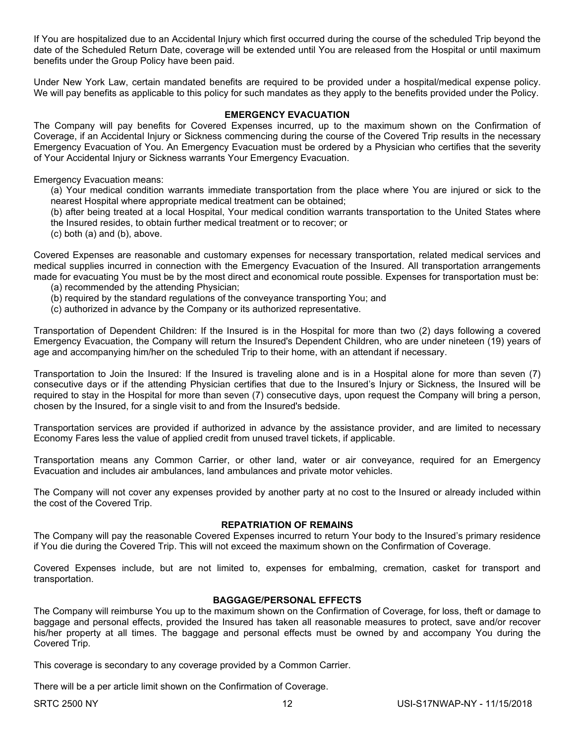If You are hospitalized due to an Accidental Injury which first occurred during the course of the scheduled Trip beyond the date of the Scheduled Return Date, coverage will be extended until You are released from the Hospital or until maximum benefits under the Group Policy have been paid.

Under New York Law, certain mandated benefits are required to be provided under a hospital/medical expense policy. We will pay benefits as applicable to this policy for such mandates as they apply to the benefits provided under the Policy.

#### **EMERGENCY EVACUATION**

The Company will pay benefits for Covered Expenses incurred, up to the maximum shown on the Confirmation of Coverage, if an Accidental Injury or Sickness commencing during the course of the Covered Trip results in the necessary Emergency Evacuation of You. An Emergency Evacuation must be ordered by a Physician who certifies that the severity of Your Accidental Injury or Sickness warrants Your Emergency Evacuation.

Emergency Evacuation means:

(a) Your medical condition warrants immediate transportation from the place where You are injured or sick to the nearest Hospital where appropriate medical treatment can be obtained;

(b) after being treated at a local Hospital, Your medical condition warrants transportation to the United States where the Insured resides, to obtain further medical treatment or to recover; or

(c) both (a) and (b), above.

Covered Expenses are reasonable and customary expenses for necessary transportation, related medical services and medical supplies incurred in connection with the Emergency Evacuation of the Insured. All transportation arrangements made for evacuating You must be by the most direct and economical route possible. Expenses for transportation must be:

- (a) recommended by the attending Physician;
- (b) required by the standard regulations of the conveyance transporting You; and
- (c) authorized in advance by the Company or its authorized representative.

Transportation of Dependent Children: If the Insured is in the Hospital for more than two (2) days following a covered Emergency Evacuation, the Company will return the Insured's Dependent Children, who are under nineteen (19) years of age and accompanying him/her on the scheduled Trip to their home, with an attendant if necessary.

Transportation to Join the Insured: If the Insured is traveling alone and is in a Hospital alone for more than seven (7) consecutive days or if the attending Physician certifies that due to the Insured's Injury or Sickness, the Insured will be required to stay in the Hospital for more than seven (7) consecutive days, upon request the Company will bring a person, chosen by the Insured, for a single visit to and from the Insured's bedside.

Transportation services are provided if authorized in advance by the assistance provider, and are limited to necessary Economy Fares less the value of applied credit from unused travel tickets, if applicable.

Transportation means any Common Carrier, or other land, water or air conveyance, required for an Emergency Evacuation and includes air ambulances, land ambulances and private motor vehicles.

The Company will not cover any expenses provided by another party at no cost to the Insured or already included within the cost of the Covered Trip.

#### **REPATRIATION OF REMAINS**

The Company will pay the reasonable Covered Expenses incurred to return Your body to the Insured's primary residence if You die during the Covered Trip. This will not exceed the maximum shown on the Confirmation of Coverage.

Covered Expenses include, but are not limited to, expenses for embalming, cremation, casket for transport and transportation.

#### **BAGGAGE/PERSONAL EFFECTS**

The Company will reimburse You up to the maximum shown on the Confirmation of Coverage, for loss, theft or damage to baggage and personal effects, provided the Insured has taken all reasonable measures to protect, save and/or recover his/her property at all times. The baggage and personal effects must be owned by and accompany You during the Covered Trip.

This coverage is secondary to any coverage provided by a Common Carrier.

There will be a per article limit shown on the Confirmation of Coverage.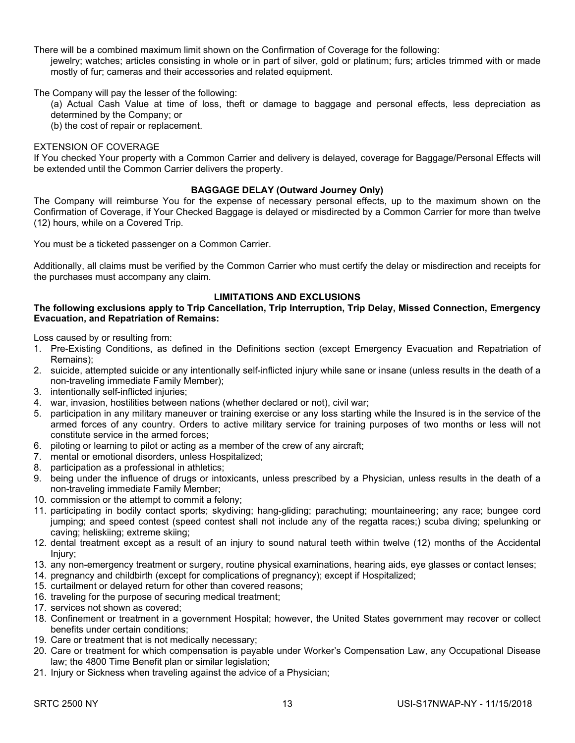There will be a combined maximum limit shown on the Confirmation of Coverage for the following:

jewelry; watches; articles consisting in whole or in part of silver, gold or platinum; furs; articles trimmed with or made mostly of fur; cameras and their accessories and related equipment.

The Company will pay the lesser of the following:

(a) Actual Cash Value at time of loss, theft or damage to baggage and personal effects, less depreciation as determined by the Company; or

(b) the cost of repair or replacement.

#### EXTENSION OF COVERAGE

If You checked Your property with a Common Carrier and delivery is delayed, coverage for Baggage/Personal Effects will be extended until the Common Carrier delivers the property.

#### **BAGGAGE DELAY (Outward Journey Only)**

The Company will reimburse You for the expense of necessary personal effects, up to the maximum shown on the Confirmation of Coverage, if Your Checked Baggage is delayed or misdirected by a Common Carrier for more than twelve (12) hours, while on a Covered Trip.

You must be a ticketed passenger on a Common Carrier.

Additionally, all claims must be verified by the Common Carrier who must certify the delay or misdirection and receipts for the purchases must accompany any claim.

## **LIMITATIONS AND EXCLUSIONS**

#### **The following exclusions apply to Trip Cancellation, Trip Interruption, Trip Delay, Missed Connection, Emergency Evacuation, and Repatriation of Remains:**

Loss caused by or resulting from:

- 1. Pre-Existing Conditions, as defined in the Definitions section (except Emergency Evacuation and Repatriation of Remains);
- 2. suicide, attempted suicide or any intentionally self-inflicted injury while sane or insane (unless results in the death of a non-traveling immediate Family Member);
- 3. intentionally self-inflicted injuries;
- 4. war, invasion, hostilities between nations (whether declared or not), civil war;
- 5. participation in any military maneuver or training exercise or any loss starting while the Insured is in the service of the armed forces of any country. Orders to active military service for training purposes of two months or less will not constitute service in the armed forces;
- 6. piloting or learning to pilot or acting as a member of the crew of any aircraft;
- 7. mental or emotional disorders, unless Hospitalized;
- 8. participation as a professional in athletics;
- 9. being under the influence of drugs or intoxicants, unless prescribed by a Physician, unless results in the death of a non-traveling immediate Family Member;
- 10. commission or the attempt to commit a felony;
- 11. participating in bodily contact sports; skydiving; hang-gliding; parachuting; mountaineering; any race; bungee cord jumping; and speed contest (speed contest shall not include any of the regatta races;) scuba diving; spelunking or caving; heliskiing; extreme skiing;
- 12. dental treatment except as a result of an injury to sound natural teeth within twelve (12) months of the Accidental Injury;
- 13. any non-emergency treatment or surgery, routine physical examinations, hearing aids, eye glasses or contact lenses;
- 14. pregnancy and childbirth (except for complications of pregnancy); except if Hospitalized;
- 15. curtailment or delayed return for other than covered reasons;
- 16. traveling for the purpose of securing medical treatment;
- 17. services not shown as covered;
- 18. Confinement or treatment in a government Hospital; however, the United States government may recover or collect benefits under certain conditions;
- 19. Care or treatment that is not medically necessary;
- 20. Care or treatment for which compensation is payable under Worker's Compensation Law, any Occupational Disease law; the 4800 Time Benefit plan or similar legislation;
- 21. Injury or Sickness when traveling against the advice of a Physician;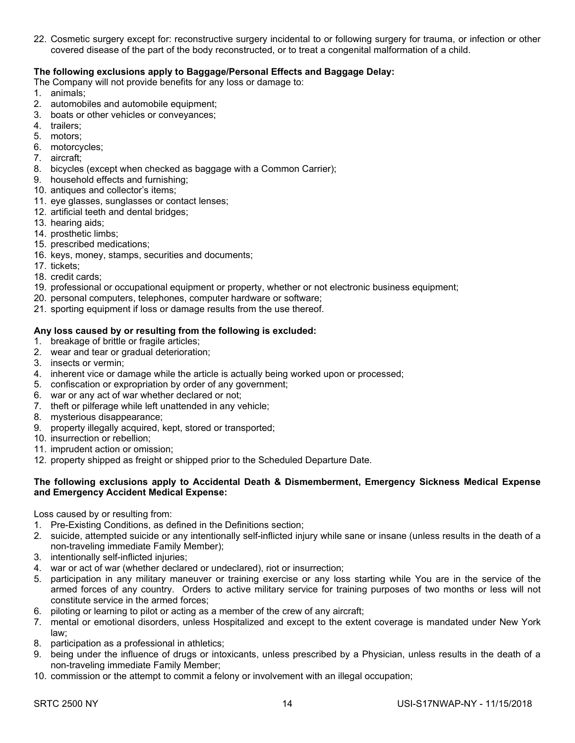22. Cosmetic surgery except for: reconstructive surgery incidental to or following surgery for trauma, or infection or other covered disease of the part of the body reconstructed, or to treat a congenital malformation of a child.

## **The following exclusions apply to Baggage/Personal Effects and Baggage Delay:**

The Company will not provide benefits for any loss or damage to:

- 1. animals;
- 2. automobiles and automobile equipment;
- 3. boats or other vehicles or conveyances;
- 4. trailers;
- 5. motors;
- 6. motorcycles;
- 7. aircraft;
- 8. bicycles (except when checked as baggage with a Common Carrier);
- 9. household effects and furnishing;
- 10. antiques and collector's items;
- 11. eye glasses, sunglasses or contact lenses;
- 12. artificial teeth and dental bridges;
- 13. hearing aids;
- 14. prosthetic limbs;
- 15. prescribed medications;
- 16. keys, money, stamps, securities and documents;
- 17. tickets;
- 18. credit cards;
- 19. professional or occupational equipment or property, whether or not electronic business equipment;
- 20. personal computers, telephones, computer hardware or software;
- 21. sporting equipment if loss or damage results from the use thereof.

## **Any loss caused by or resulting from the following is excluded:**

- 1. breakage of brittle or fragile articles;
- 2. wear and tear or gradual deterioration;
- 3. insects or vermin;
- 4. inherent vice or damage while the article is actually being worked upon or processed;
- 5. confiscation or expropriation by order of any government;
- 6. war or any act of war whether declared or not;
- 7. theft or pilferage while left unattended in any vehicle;
- 8. mysterious disappearance;
- 9. property illegally acquired, kept, stored or transported;
- 10. insurrection or rebellion;
- 11. imprudent action or omission;
- 12. property shipped as freight or shipped prior to the Scheduled Departure Date.

#### **The following exclusions apply to Accidental Death & Dismemberment, Emergency Sickness Medical Expense and Emergency Accident Medical Expense:**

Loss caused by or resulting from:

- 1. Pre-Existing Conditions, as defined in the Definitions section;
- 2. suicide, attempted suicide or any intentionally self-inflicted injury while sane or insane (unless results in the death of a non-traveling immediate Family Member);
- 3. intentionally self-inflicted injuries;
- 4. war or act of war (whether declared or undeclared), riot or insurrection;
- 5. participation in any military maneuver or training exercise or any loss starting while You are in the service of the armed forces of any country. Orders to active military service for training purposes of two months or less will not constitute service in the armed forces;
- 6. piloting or learning to pilot or acting as a member of the crew of any aircraft;
- 7. mental or emotional disorders, unless Hospitalized and except to the extent coverage is mandated under New York law;
- 8. participation as a professional in athletics;
- 9. being under the influence of drugs or intoxicants, unless prescribed by a Physician, unless results in the death of a non-traveling immediate Family Member;
- 10. commission or the attempt to commit a felony or involvement with an illegal occupation;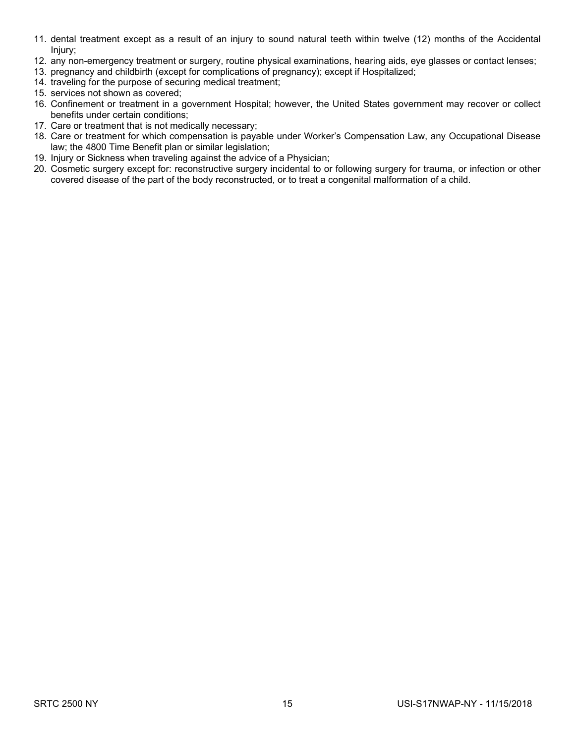- 11. dental treatment except as a result of an injury to sound natural teeth within twelve (12) months of the Accidental Injury;
- 12. any non-emergency treatment or surgery, routine physical examinations, hearing aids, eye glasses or contact lenses;
- 13. pregnancy and childbirth (except for complications of pregnancy); except if Hospitalized;
- 14. traveling for the purpose of securing medical treatment;
- 15. services not shown as covered;
- 16. Confinement or treatment in a government Hospital; however, the United States government may recover or collect benefits under certain conditions;
- 17. Care or treatment that is not medically necessary;
- 18. Care or treatment for which compensation is payable under Worker's Compensation Law, any Occupational Disease law; the 4800 Time Benefit plan or similar legislation;
- 19. Injury or Sickness when traveling against the advice of a Physician;
- 20. Cosmetic surgery except for: reconstructive surgery incidental to or following surgery for trauma, or infection or other covered disease of the part of the body reconstructed, or to treat a congenital malformation of a child.